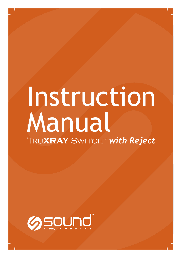# Instruction Manual Tru**XRAY** Switch™ *with Reject*

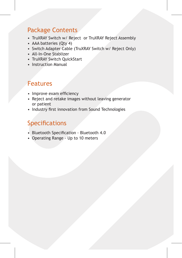#### Package Contents

- TruXRAY Switch w/ Reject or TruXRAY Reject Assembly
- AAA batteries (Qty 4)
- Switch Adapter Cable (TruXRAY Switch w/ Reject Only)
- All-In-One Stablizer
- TruXRAY Switch QuickStart
- Instruction Manual

## Features

- Improve exam efficiency
- Reject and retake images without leaving generator or patient
- Industry first innovation from Sound Technologies

# Specifications

- Bluetooth Specification Bluetooth 4.0
- Operating Range Up to 10 meters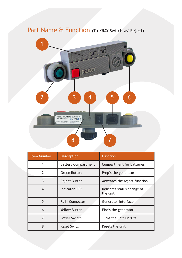# Part Name & Function (TruXRAY Switch w/ Reject)



| Item Number              | Description                | <b>Function</b>                        |
|--------------------------|----------------------------|----------------------------------------|
|                          | <b>Battery Compartment</b> | Compartment for batteries              |
| $\overline{\phantom{a}}$ | Green Button               | Prep's the generator                   |
| $\mathbf{3}$             | Reject Button              | Activates the reject function          |
| $\boldsymbol{\Lambda}$   | <b>Indicator LED</b>       | Indicates status change of<br>the unit |
| 5                        | RJ11 Connector             | Generator interface                    |
| $\mathsf{f}$             | <b>Yellow Button</b>       | Fire's the generator                   |
|                          | Power Switch               | Turns the unit On/Off                  |
|                          | <b>Reset Switch</b>        | Resets the unit                        |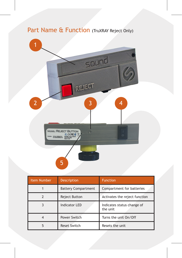

| <b>Item Number</b> | <b>Description</b>         | <b>Function</b>                        |
|--------------------|----------------------------|----------------------------------------|
|                    | <b>Battery Compartment</b> | Compartment for batteries              |
|                    | Reject Button              | Activates the reject function          |
|                    | Indicator LED              | Indicates status change of<br>the unit |
|                    | Power Switch               | Turns the unit On/Off                  |
|                    | <b>Reset Switch</b>        | Resets the unit                        |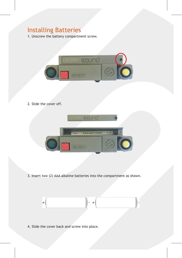# Installing Batteries

1. Unscrew the battery compartment screw.



2. Slide the cover off.



3. Insert two (2) AAA alkaline batteries into the compartment as shown.



4. Slide the cover back and screw into place.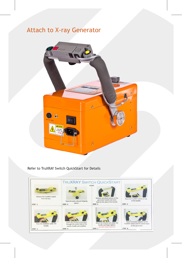# Attach to X-ray Generator



Refer to TruXRAY Switch QuickStart for Details

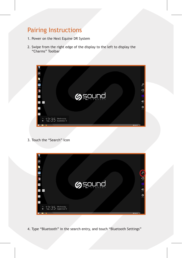## Pairing Instructions

- 1. Power on the Next Equine DR System
- 2. Swipe from the right edge of the display to the left to display the "Charms" Toolbar



3. Touch the "Search" Icon



4. Type "Bluetooth" in the search entry, and touch "Bluetooth Settings"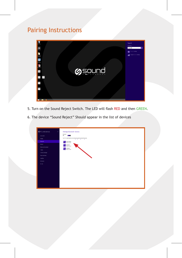# Pairing Instructions



- 5. Turn on the Sound Reject Switch. The LED will flash RED and then GREEN.
- 6. The device "Sound Reject" Should appear in the list of devices

| @ PC and devices    | Manage Bluetooth devices<br>×                                                                  |
|---------------------|------------------------------------------------------------------------------------------------|
|                     | <b>Burniet</b><br>×.                                                                           |
| <b>Sedan Armore</b> |                                                                                                |
| Ourism              | $\operatorname{Im} \mathcal{K}$ is a<br>writing for and on the discovered by Dorfords devices. |
| <b>Business</b>     | <b>Stand Read</b><br>Reads from                                                                |
| Grant.              | <b>College Street</b>                                                                          |
| Woon and Exchand    | <b>College Street</b>                                                                          |
| tone                |                                                                                                |
| Cores and miles     |                                                                                                |
| Now and deal        |                                                                                                |
| Amtha               |                                                                                                |
| Outlease            |                                                                                                |
| or pay              |                                                                                                |
|                     |                                                                                                |
|                     |                                                                                                |
|                     |                                                                                                |
|                     |                                                                                                |
|                     |                                                                                                |
|                     |                                                                                                |
|                     |                                                                                                |
|                     |                                                                                                |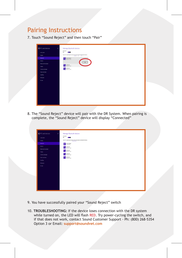#### Pairing Instructions

7. Touch "Sound Reject" and then touch "Pair"

| <b>O</b> PC and devices<br>- 1              | Manage Bluetooth devices                                                       |
|---------------------------------------------|--------------------------------------------------------------------------------|
| <b>Latitude</b>                             | $\sim$                                                                         |
| <b>Dutch</b>                                | $\operatorname{Ext} K$ is starting to and on the decomposity financel at each. |
| <b>Bally</b>                                | <b>Experience</b>                                                              |
| <b>State</b>                                |                                                                                |
| Most ed tourist                             | <b>Collaboration</b>                                                           |
| <b>Service</b>                              | <b>Collaboration</b>                                                           |
| <b>Constitution</b><br><b>Tour and dogs</b> |                                                                                |
| AAPW                                        |                                                                                |
| Delivery                                    |                                                                                |
| <b>STANT</b>                                |                                                                                |
|                                             |                                                                                |
|                                             |                                                                                |
|                                             |                                                                                |
|                                             |                                                                                |
|                                             |                                                                                |
|                                             |                                                                                |
|                                             |                                                                                |
|                                             |                                                                                |

8. The "Sound Reject" device will pair with the DR System. When pairing is complete, the "Sound Reject" device will display "Connected"

| C PC and devices<br>ò      | Manage Bluetooth devices                                                  |
|----------------------------|---------------------------------------------------------------------------|
|                            | <b>Burniet</b>                                                            |
| <b>SIGNER</b>              | $\alpha$                                                                  |
| <b>Dayley</b>              | four K.'s searching for and san lot always entropy Bustonets desires.<br> |
| Burbon.                    | <b>Capability</b>                                                         |
| departed.                  | <b>Call Different</b>                                                     |
| <b>Ninger and trusteed</b> | <b>Call District</b>                                                      |
| <b>Tony</b>                |                                                                           |
| Greculester                | <b>Call States</b>                                                        |
| <b>home</b> and down       | <b>Call States</b>                                                        |
| <b>Notative</b>            |                                                                           |
| <b>Distance</b>            |                                                                           |
| <b>Kink</b>                |                                                                           |
|                            |                                                                           |
|                            |                                                                           |
|                            |                                                                           |
|                            |                                                                           |
|                            |                                                                           |
|                            |                                                                           |
|                            |                                                                           |
|                            |                                                                           |
|                            |                                                                           |
|                            |                                                                           |
|                            |                                                                           |

- 9. You have successfully paired your "Sound Reject" switch
- 10. **TROUBLESHOOTING:** If the device loses connection with the DR system while turned on, the LED will flash RED. Try power-cycling the switch, and if that does not work, contact Sound Customer Support - Ph: (800) 268-5354 Option 3 or Email: **support@soundvet.com**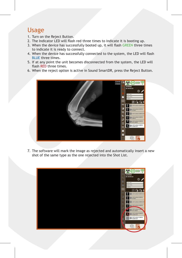#### Usage

- 1. Turn on the Reject Button.
- 2. The Indicator LED will flash red three times to indicate it is booting up.
- 3. When the device has successfully booted up, it will flash GREEN three times to indicate it is ready to connect.
- 4. When the device has successfully connected to the system, the LED will flash BLUE three times.
- 5. If at any point the unit becomes disconnected from the system, the LED will flash RED three times.
- 6. When the reject option is active in Sound SmartDR, press the Reject Button.



7. The software will mark the image as rejected and automatically insert a new shot of the same type as the one rejected into the Shot List.

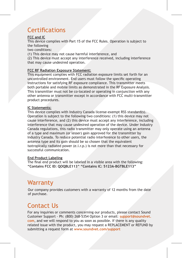## **Certifications**

#### **FCC and IC**

This device complies with Part 15 of the FCC Rules. Operation is subject to the following

two conditions:

(1) This device may not cause harmful interference, and

(2) This device must accept any interference received, including interference that may cause undesired operation.

#### **FCC RF Radiation Exposure Statement:**

This equipment complies with FCC radiation exposure limits set forth for an uncontrolled environment. End users must follow the specific operating instructions for satisfying RF exposure compliance. This transmitter meets both portable and mobile limits as demonstrated in the RF Exposure Analysis. This transmitter must not be co-located or operating in conjunction with any other antenna or transmitter except in accordance with FCC multi-transmitter product procedures.

#### **IC Statements:**

This device complies with Industry Canada license-exempt RSS standard(s). Operation is subject to the following two conditions: (1) this device may not cause interference, and (2) this device must accept any interference, including interference that may cause undesired operation of the device. Under Industry Canada regulations, this radio transmitter may only operate using an antenna of a type and maximum (or lesser) gain approved for the transmitter by Industry Canada. To reduce potential radio interference to other users, the antenna type and its gain should be so chosen that the equivalent isotropically radiated power (e.i.r.p.) is not more than that necessary for successful communication.

#### **End Product Labeling**

The final end product will be labeled in a visible area with the following: **"Contains FCC ID: QOQBLE113" "Contains IC: 5123A-BGTBLE113"**

#### **Warranty**

Our company provides customers with a warranty of 12 months from the date of purchase.

## Contact Us

For any inquiries or comments concerning our products, please contact Sound Customer Support - Ph: (800) 268-5354 Option 3 or email: **support@soundvet. com**, and we will respond to you as soon as possible. If there is any quality related issue with the product, you may request a REPLACEMENT or REFUND by submitting a request form at **www.soundvet.com/support**